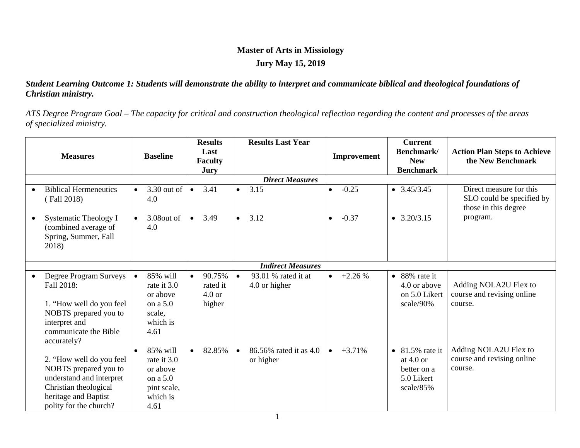## **Master of Arts in Missiology Jury May 15, 2019**

#### *Student Learning Outcome 1: Students will demonstrate the ability to interpret and communicate biblical and theological foundations of Christian ministry.*

*ATS Degree Program Goal – The capacity for critical and construction theological reflection regarding the content and processes of the areas of specialized ministry.*

| <b>Measures</b> |                                                                                                                                                          | <b>Baseline</b> |                                                                                    | <b>Results</b><br>Last<br><b>Faculty</b><br><b>Jury</b> |                                                   | <b>Results Last Year</b> |                                      | <b>Improvement</b> |          | <b>Current</b><br>Benchmark/<br><b>New</b><br><b>Benchmark</b> |                                                                        | <b>Action Plan Steps to Achieve</b><br>the New Benchmark                     |
|-----------------|----------------------------------------------------------------------------------------------------------------------------------------------------------|-----------------|------------------------------------------------------------------------------------|---------------------------------------------------------|---------------------------------------------------|--------------------------|--------------------------------------|--------------------|----------|----------------------------------------------------------------|------------------------------------------------------------------------|------------------------------------------------------------------------------|
|                 |                                                                                                                                                          |                 |                                                                                    |                                                         |                                                   |                          | <b>Direct Measures</b>               |                    |          |                                                                |                                                                        |                                                                              |
|                 | <b>Biblical Hermeneutics</b><br>(Fall 2018)                                                                                                              | $\bullet$       | 3.30 out of<br>4.0                                                                 | $\bullet$                                               | 3.41                                              | $\bullet$                | 3.15                                 | $\bullet$          | $-0.25$  |                                                                | $\bullet$ 3.45/3.45                                                    | Direct measure for this<br>SLO could be specified by<br>those in this degree |
|                 | <b>Systematic Theology I</b><br>(combined average of<br>Spring, Summer, Fall<br>2018)                                                                    | $\bullet$       | 3.08out of<br>4.0                                                                  | $\bullet$                                               | 3.49                                              | $\bullet$                | 3.12                                 | $\bullet$          | $-0.37$  |                                                                | $\bullet$ 3.20/3.15                                                    | program.                                                                     |
|                 | <b>Indirect Measures</b>                                                                                                                                 |                 |                                                                                    |                                                         |                                                   |                          |                                      |                    |          |                                                                |                                                                        |                                                                              |
|                 | Degree Program Surveys<br>Fall 2018:<br>1. "How well do you feel<br>NOBTS prepared you to<br>interpret and<br>communicate the Bible<br>accurately?       | $\bullet$       | 85% will<br>rate it 3.0<br>or above<br>on a $5.0$<br>scale,<br>which is<br>4.61    | $\bullet$                                               | 90.75%<br>rated it<br>4.0 <sub>or</sub><br>higher | $\bullet$                | 93.01 % rated it at<br>4.0 or higher | $\bullet$          | $+2.26%$ | $\bullet$                                                      | 88% rate it<br>4.0 or above<br>on 5.0 Likert<br>scale/90%              | Adding NOLA2U Flex to<br>course and revising online<br>course.               |
|                 | 2. "How well do you feel<br>NOBTS prepared you to<br>understand and interpret<br>Christian theological<br>heritage and Baptist<br>polity for the church? | $\bullet$       | 85% will<br>rate it 3.0<br>or above<br>on a 5.0<br>pint scale,<br>which is<br>4.61 | $\bullet$                                               | 82.85%                                            | $\bullet$                | 86.56% rated it as 4.0<br>or higher  |                    | $+3.71%$ | $\bullet$                                                      | 81.5% rate it<br>at $4.0$ or<br>better on a<br>5.0 Likert<br>scale/85% | Adding NOLA2U Flex to<br>course and revising online<br>course.               |

1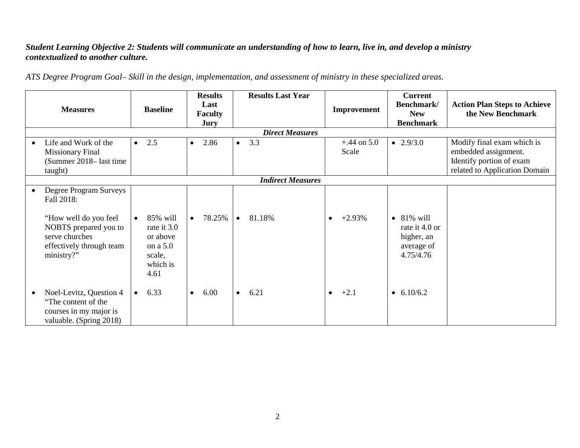#### *Student Learning Objective 2: Students will communicate an understanding of how to learn, live in, and develop a ministry contextualized to another culture.*

*ATS Degree Program Goal– Skill in the design, implementation, and assessment of ministry in these specialized areas.*

|           | <b>Measures</b>                                                                                                                                    | <b>Baseline</b>                                                                            | <b>Results</b><br>Last<br><b>Faculty</b><br>Jury | <b>Results Last Year</b> | Improvement            | <b>Current</b><br>Benchmark/<br><b>New</b><br><b>Benchmark</b>                | <b>Action Plan Steps to Achieve</b><br>the New Benchmark                                                        |  |  |  |  |  |
|-----------|----------------------------------------------------------------------------------------------------------------------------------------------------|--------------------------------------------------------------------------------------------|--------------------------------------------------|--------------------------|------------------------|-------------------------------------------------------------------------------|-----------------------------------------------------------------------------------------------------------------|--|--|--|--|--|
|           |                                                                                                                                                    |                                                                                            |                                                  |                          |                        |                                                                               |                                                                                                                 |  |  |  |  |  |
|           | Life and Work of the<br><b>Missionary Final</b><br>(Summer 2018–last time<br>taught)                                                               | 2.5<br>$\bullet$                                                                           | 2.86<br>$\bullet$                                | 3.3<br>$\bullet$         | $+.44$ on 5.0<br>Scale | • $2.9/3.0$                                                                   | Modify final exam which is<br>embedded assignment.<br>Identify portion of exam<br>related to Application Domain |  |  |  |  |  |
|           | <b>Indirect Measures</b>                                                                                                                           |                                                                                            |                                                  |                          |                        |                                                                               |                                                                                                                 |  |  |  |  |  |
| $\bullet$ | Degree Program Surveys<br>Fall 2018:<br>"How well do you feel<br>NOBTS prepared you to<br>serve churches<br>effectively through team<br>ministry?" | 85% will<br>$\bullet$<br>rate it 3.0<br>or above<br>on a 5.0<br>scale,<br>which is<br>4.61 | 78.25%<br>$\bullet$                              | 81.18%<br>$\bullet$      | $+2.93%$               | $\bullet$ 81% will<br>rate it 4.0 or<br>higher, an<br>average of<br>4.75/4.76 |                                                                                                                 |  |  |  |  |  |
| $\bullet$ | Noel-Levitz, Question 4<br>"The content of the<br>courses in my major is<br>valuable. (Spring 2018)                                                | 6.33<br>$\bullet$                                                                          | 6.00<br>$\bullet$                                | 6.21<br>$\bullet$        | $+2.1$<br>$\bullet$    | • $6.10/6.2$                                                                  |                                                                                                                 |  |  |  |  |  |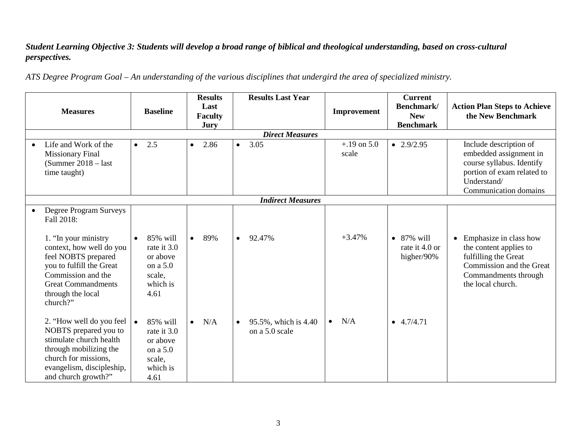### *Student Learning Objective 3: Students will develop a broad range of biblical and theological understanding, based on cross-cultural perspectives.*

*ATS Degree Program Goal – An understanding of the various disciplines that undergird the area of specialized ministry.*

| <b>Measures</b>                                                                                                                                                                                                                 |                  | <b>Baseline</b>                                                               |           | <b>Results</b><br>Last<br><b>Faculty</b><br><b>Jury</b> |           | <b>Results Last Year</b>               |           | Improvement            | <b>Current</b><br>Benchmark/<br><b>New</b><br><b>Benchmark</b> | <b>Action Plan Steps to Achieve</b><br>the New Benchmark                                                                                            |
|---------------------------------------------------------------------------------------------------------------------------------------------------------------------------------------------------------------------------------|------------------|-------------------------------------------------------------------------------|-----------|---------------------------------------------------------|-----------|----------------------------------------|-----------|------------------------|----------------------------------------------------------------|-----------------------------------------------------------------------------------------------------------------------------------------------------|
|                                                                                                                                                                                                                                 |                  |                                                                               |           |                                                         |           |                                        |           |                        |                                                                |                                                                                                                                                     |
| Life and Work of the<br><b>Missionary Final</b><br>$(Summer 2018 - last)$<br>time taught)                                                                                                                                       | 2.5<br>$\bullet$ |                                                                               | $\bullet$ | 2.86                                                    | $\bullet$ | 3.05                                   |           | $+.19$ on 5.0<br>scale | $\bullet$ 2.9/2.95                                             | Include description of<br>embedded assignment in<br>course syllabus. Identify<br>portion of exam related to<br>Understand/<br>Communication domains |
|                                                                                                                                                                                                                                 |                  |                                                                               |           |                                                         |           |                                        |           |                        |                                                                |                                                                                                                                                     |
| Degree Program Surveys<br>Fall 2018:<br>1. "In your ministry<br>context, how well do you<br>feel NOBTS prepared<br>you to fulfill the Great<br>Commission and the<br><b>Great Commandments</b><br>through the local<br>church?" | $\bullet$        | 85% will<br>rate it 3.0<br>or above<br>on a 5.0<br>scale,<br>which is<br>4.61 | $\bullet$ | 89%                                                     | $\bullet$ | 92.47%                                 |           | $+3.47%$               | $\bullet$ 87% will<br>rate it 4.0 or<br>higher/90%             | • Emphasize in class how<br>the content applies to<br>fulfilling the Great<br>Commission and the Great<br>Commandments through<br>the local church. |
| 2. "How well do you feel<br>NOBTS prepared you to<br>stimulate church health<br>through mobilizing the<br>church for missions,<br>evangelism, discipleship,<br>and church growth?"                                              | $\bullet$        | 85% will<br>rate it 3.0<br>or above<br>on a 5.0<br>scale,<br>which is<br>4.61 | $\bullet$ | N/A                                                     |           | 95.5%, which is 4.40<br>on a 5.0 scale | $\bullet$ | N/A                    | $-4.7/4.71$                                                    |                                                                                                                                                     |